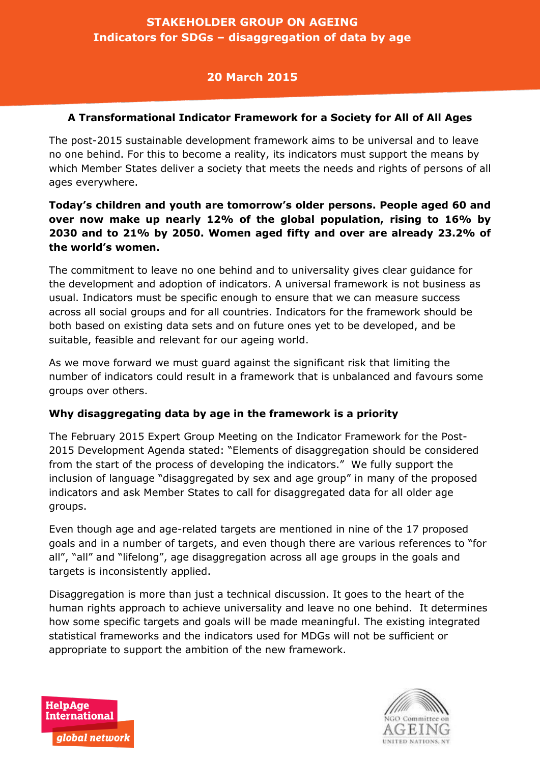# **STAKEHOLDER GROUP ON AGEING Indicators for SDGs – disaggregation of data by age**

## **20 March 2015**

### **A Transformational Indicator Framework for a Society for All of All Ages**

The post-2015 sustainable development framework aims to be universal and to leave no one behind. For this to become a reality, its indicators must support the means by which Member States deliver a society that meets the needs and rights of persons of all ages everywhere.

## **Today's children and youth are tomorrow's older persons. People aged 60 and over now make up nearly 12% of the global population, rising to 16% by 2030 and to 21% by 2050. Women aged fifty and over are already 23.2% of the world's women.**

The commitment to leave no one behind and to universality gives clear guidance for the development and adoption of indicators. A universal framework is not business as usual. Indicators must be specific enough to ensure that we can measure success across all social groups and for all countries. Indicators for the framework should be both based on existing data sets and on future ones yet to be developed, and be suitable, feasible and relevant for our ageing world.

As we move forward we must guard against the significant risk that limiting the number of indicators could result in a framework that is unbalanced and favours some groups over others.

## **Why disaggregating data by age in the framework is a priority**

The February 2015 Expert Group Meeting on the Indicator Framework for the Post-2015 Development Agenda stated: "Elements of disaggregation should be considered from the start of the process of developing the indicators." We fully support the inclusion of language "disaggregated by sex and age group" in many of the proposed indicators and ask Member States to call for disaggregated data for all older age groups.

Even though age and age-related targets are mentioned in nine of the 17 proposed goals and in a number of targets, and even though there are various references to "for all", "all" and "lifelong", age disaggregation across all age groups in the goals and targets is inconsistently applied.

Disaggregation is more than just a technical discussion. It goes to the heart of the human rights approach to achieve universality and leave no one behind. It determines how some specific targets and goals will be made meaningful. The existing integrated statistical frameworks and the indicators used for MDGs will not be sufficient or appropriate to support the ambition of the new framework.